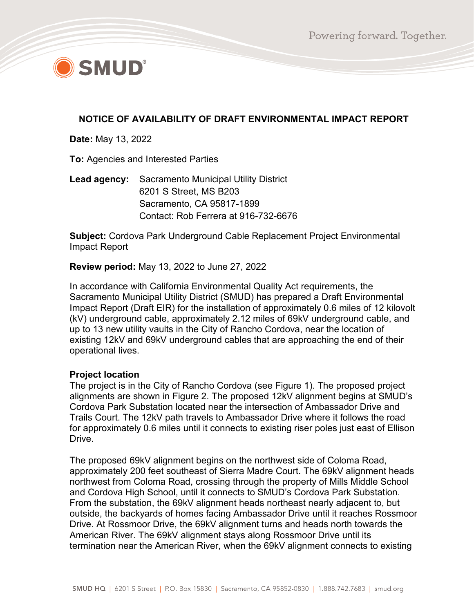

# **NOTICE OF AVAILABILITY OF DRAFT ENVIRONMENTAL IMPACT REPORT**

**Date:** May 13, 2022

**To:** Agencies and Interested Parties

**Lead agency:** Sacramento Municipal Utility District 6201 S Street, MS B203 Sacramento, CA 95817-1899 Contact: Rob Ferrera at 916-732-6676

**Subject:** Cordova Park Underground Cable Replacement Project Environmental Impact Report

**Review period:** May 13, 2022 to June 27, 2022

In accordance with California Environmental Quality Act requirements, the Sacramento Municipal Utility District (SMUD) has prepared a Draft Environmental Impact Report (Draft EIR) for the installation of approximately 0.6 miles of 12 kilovolt (kV) underground cable, approximately 2.12 miles of 69kV underground cable, and up to 13 new utility vaults in the City of Rancho Cordova, near the location of existing 12kV and 69kV underground cables that are approaching the end of their operational lives.

#### **Project location**

The project is in the City of Rancho Cordova (see Figure 1). The proposed project alignments are shown in Figure 2. The proposed 12kV alignment begins at SMUD's Cordova Park Substation located near the intersection of Ambassador Drive and Trails Court. The 12kV path travels to Ambassador Drive where it follows the road for approximately 0.6 miles until it connects to existing riser poles just east of Ellison Drive.

The proposed 69kV alignment begins on the northwest side of Coloma Road, approximately 200 feet southeast of Sierra Madre Court. The 69kV alignment heads northwest from Coloma Road, crossing through the property of Mills Middle School and Cordova High School, until it connects to SMUD's Cordova Park Substation. From the substation, the 69kV alignment heads northeast nearly adjacent to, but outside, the backyards of homes facing Ambassador Drive until it reaches Rossmoor Drive. At Rossmoor Drive, the 69kV alignment turns and heads north towards the American River. The 69kV alignment stays along Rossmoor Drive until its termination near the American River, when the 69kV alignment connects to existing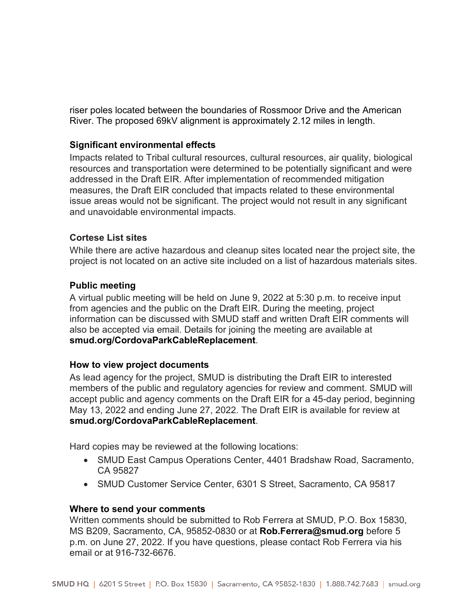riser poles located between the boundaries of Rossmoor Drive and the American River. The proposed 69kV alignment is approximately 2.12 miles in length.

## **Significant environmental effects**

Impacts related to Tribal cultural resources, cultural resources, air quality, biological resources and transportation were determined to be potentially significant and were addressed in the Draft EIR. After implementation of recommended mitigation measures, the Draft EIR concluded that impacts related to these environmental issue areas would not be significant. The project would not result in any significant and unavoidable environmental impacts.

## **Cortese List sites**

While there are active hazardous and cleanup sites located near the project site, the project is not located on an active site included on a list of hazardous materials sites.

## **Public meeting**

A virtual public meeting will be held on June 9, 2022 at 5:30 p.m. to receive input from agencies and the public on the Draft EIR. During the meeting, project information can be discussed with SMUD staff and written Draft EIR comments will also be accepted via email. Details for joining the meeting are available at **smud.org/CordovaParkCableReplacement**.

## **How to view project documents**

As lead agency for the project, SMUD is distributing the Draft EIR to interested members of the public and regulatory agencies for review and comment. SMUD will accept public and agency comments on the Draft EIR for a 45-day period, beginning May 13, 2022 and ending June 27, 2022. The Draft EIR is available for review at **smud.org/CordovaParkCableReplacement**.

Hard copies may be reviewed at the following locations:

- SMUD East Campus Operations Center, 4401 Bradshaw Road, Sacramento, CA 95827
- SMUD Customer Service Center, 6301 S Street, Sacramento, CA 95817

## **Where to send your comments**

Written comments should be submitted to Rob Ferrera at SMUD, P.O. Box 15830, MS B209, Sacramento, CA, 95852-0830 or at **Rob.Ferrera@smud.org** before 5 p.m. on June 27, 2022. If you have questions, please contact Rob Ferrera via his email or at 916-732-6676.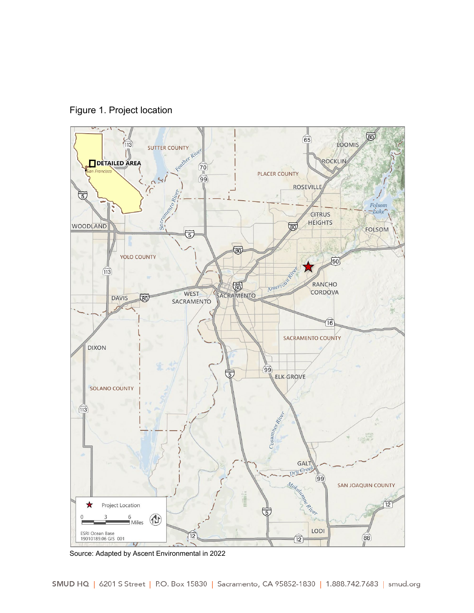



Source: Adapted by Ascent Environmental in 2022